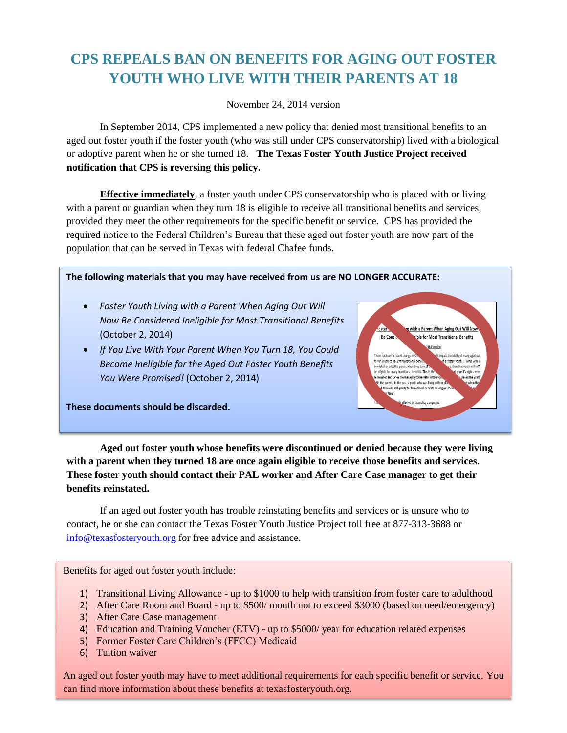## **CPS REPEALS BAN ON BENEFITS FOR AGING OUT FOSTER YOUTH WHO LIVE WITH THEIR PARENTS AT 18**

November 24, 2014 version

In September 2014, CPS implemented a new policy that denied most transitional benefits to an aged out foster youth if the foster youth (who was still under CPS conservatorship) lived with a biological or adoptive parent when he or she turned 18. **The Texas Foster Youth Justice Project received notification that CPS is reversing this policy.** 

**Effective immediately**, a foster youth under CPS conservatorship who is placed with or living with a parent or guardian when they turn 18 is eligible to receive all transitional benefits and services, provided they meet the other requirements for the specific benefit or service. CPS has provided the required notice to the Federal Children's Bureau that these aged out foster youth are now part of the population that can be served in Texas with federal Chafee funds.

**The following materials that you may have received from us are NO LONGER ACCURATE:**

- *Foster Youth Living with a Parent When Aging Out Will Now Be Considered Ineligible for Most Transitional Benefits* (October 2, 2014)
- *If You Live With Your Parent When You Turn 18, You Could Become Ineligible for the Aged Out Foster Youth Benefits You Were Promised!* (October 2, 2014)



**These documents should be discarded.** 

**Aged out foster youth whose benefits were discontinued or denied because they were living with a parent when they turned 18 are once again eligible to receive those benefits and services. These foster youth should contact their PAL worker and After Care Case manager to get their benefits reinstated.**

If an aged out foster youth has trouble reinstating benefits and services or is unsure who to contact, he or she can contact the Texas Foster Youth Justice Project toll free at 877-313-3688 or [info@texasfosteryouth.org](mailto:info@texasfosteryouth.org) for free advice and assistance.

Benefits for aged out foster youth include:

- 1) Transitional Living Allowance up to \$1000 to help with transition from foster care to adulthood
- 2) After Care Room and Board up to \$500/ month not to exceed \$3000 (based on need/emergency)
- 3) After Care Case management
- 4) Education and Training Voucher (ETV) up to \$5000/ year for education related expenses
- 5) Former Foster Care Children's (FFCC) Medicaid
- 6) Tuition waiver

An aged out foster youth may have to meet additional requirements for each specific benefit or service. You can find more information about these benefits at texasfosteryouth.org.